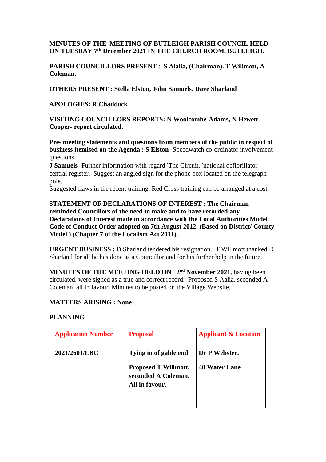# **MINUTES OF THE MEETING OF BUTLEIGH PARISH COUNCIL HELD ON TUESDAY 7 th December 2021 IN THE CHURCH ROOM, BUTLEIGH.**

**PARISH COUNCILLORS PRESENT** : **S Alalia, (Chairman). T Willmott, A Coleman.**

**OTHERS PRESENT : Stella Elston, John Samuels. Dave Sharland**

**APOLOGIES: R Chaddock**

**VISITING COUNCILLORS REPORTS: N Woolcombe-Adams, N Hewett-Cooper- report circulated.**

**Pre- meeting statements and questions from members of the public in respect of business itemised on the Agenda : S Elston**- Speedwatch co-ordinator involvement questions.

**J Samuels-** Further information with regard 'The Circuit, 'national defibrillator central register. Suggest an angled sign for the phone box located on the telegraph pole.

Suggested flaws in the recent training. Red Cross training can be arranged at a cost.

**STATEMENT OF DECLARATIONS OF INTEREST : The Chairman reminded Councillors of the need to make and to have recorded any Declarations of Interest made in accordance with the Local Authorities Model Code of Conduct Order adopted on 7th August 2012. (Based on District/ County Model ) (Chapter 7 of the Localism Act 2011).**

**URGENT BUSINESS :** D Sharland tendered his resignation. T Willmott thanked D Sharland for all he has done as a Councillor and for his further help in the future.

**MINUTES OF THE MEETING HELD ON 2 nd November 2021,** having been circulated, were signed as a true and correct record. Proposed S Aalia, seconded A Coleman, all in favour. Minutes to be posted on the Village Website.

#### **MATTERS ARISING : None**

### **PLANNING**

| <b>Application Number</b> | <b>Proposal</b>                                                                               | <b>Applicant &amp; Location</b>       |
|---------------------------|-----------------------------------------------------------------------------------------------|---------------------------------------|
| 2021/2601/LBC             | Tying in of gable end<br><b>Proposed T Willmott,</b><br>seconded A Coleman.<br>All in favour. | Dr P Webster.<br><b>40 Water Lane</b> |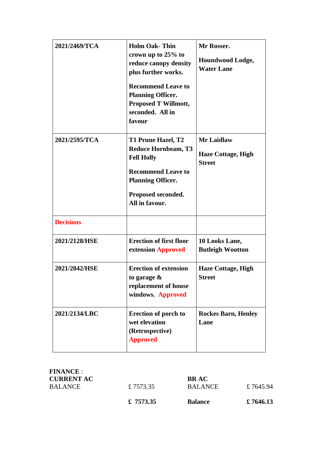| 2021/2469/TCA    | <b>Holm Oak-Thin</b><br>crown up to 25% to<br>reduce canopy density<br>plus further works.<br><b>Recommend Leave to</b><br><b>Planning Officer.</b><br><b>Proposed T Willmott,</b><br>seconded. All in<br>favour | Mr Rosser.<br>Houndwood Lodge,<br><b>Water Lane</b>             |
|------------------|------------------------------------------------------------------------------------------------------------------------------------------------------------------------------------------------------------------|-----------------------------------------------------------------|
| 2021/2595/TCA    | T1 Prune Hazel, T2<br><b>Reduce Hornbeam, T3</b><br><b>Fell Holly</b><br><b>Recommend Leave to</b><br><b>Planning Officer.</b><br>Proposed seconded.<br>All in favour.                                           | <b>Mr Laidlaw</b><br><b>Haze Cottage, High</b><br><b>Street</b> |
| <b>Decisions</b> |                                                                                                                                                                                                                  |                                                                 |
| 2021/2128/HSE    | <b>Erection of first floor</b><br>extension Approved                                                                                                                                                             | 10 Looks Lane,<br><b>Butleigh Wootton</b>                       |
| 2021/2042/HSE    | <b>Erection of extension</b><br>to garage $\&$<br>replacement of house<br>windows. Approved                                                                                                                      | <b>Haze Cottage, High</b><br><b>Street</b>                      |
| 2021/2134/LBC    | <b>Erection of porch to</b><br>wet elevation<br>(Retrospective)<br><b>Approved</b>                                                                                                                               | <b>Rockes Barn, Henley</b><br>Lane                              |

| <b>FINANCE:</b>   |           |                |           |
|-------------------|-----------|----------------|-----------|
| <b>CURRENT AC</b> |           | <b>BRAC</b>    |           |
| BALANCE           | £7573.35  | <b>BALANCE</b> | £7645.94  |
|                   | £ 7573.35 | <b>Balance</b> | £ 7646.13 |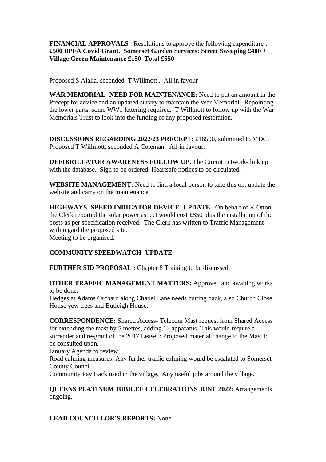### **FINANCIAL APPROVALS** : Resolutions to approve the following expenditure : **£500 BPFA Covid Grant. Somerset Garden Services: Street Sweeping £400 + Village Green Maintenance £150 Total £550**

Proposed S Alalia, seconded T Willmott . All in favour

**WAR MEMORIAL- NEED FOR MAINTENANCE:** Need to put an amount in the Precept for advice and an updated survey to maintain the War Memorial. Repointing the lower parts, some WW1 lettering required. T Willmott to follow up with the War Memorials Trust to look into the funding of any proposed restoration.

**DISCUSSIONS REGARDING 2022/23 PRECEPT:** £16500, submitted to MDC. Proposed T Willmott, seconded A Coleman. All in favour.

**DEFIBRILLATOR AWARENESS FOLLOW UP.** The Circuit network- link up with the database. Sign to be ordered. Heartsafe notices to be circulated.

**WEBSITE MANAGEMENT:** Need to find a local person to take this on, update the website and carry on the maintenance.

**HIGHWAYS -SPEED INDICATOR DEVICE- UPDATE.** On behalf of K Otton, the Clerk reported the solar power aspect would cost £850 plus the installation of the posts as per specification received. The Clerk has written to Traffic Management with regard the proposed site. Meeting to be organised.

# **COMMUNITY SPEEDWATCH- UPDATE-**

**FURTHER SID PROPOSAL :** Chapter 8 Training to be discussed.

**OTHER TRAFFIC MANAGEMENT MATTERS:** Approved and awaiting works to be done.

Hedges at Adams Orchard along Chapel Lane needs cutting back, also Church Close House yew trees and Butleigh House.

**CORRESPONDENCE:** Shared Access- Telecom Mast request from Shared Access for extending the mast by 5 metres, adding 12 apparatus. This would require a surrender and re-grant of the 2017 Lease..: Proposed material change to the Mast to be consulted upon.

January Agenda to review.

Road calming measures: Any further traffic calming would be escalated to Somerset County Council.

Community Pay Back used in the village. Any useful jobs around the village.

# **QUEENS PLATINUM JUBILEE CELEBRATIONS JUNE 2022:** Arrangements ongoing.

**LEAD COUNCILLOR'S REPORTS:** None